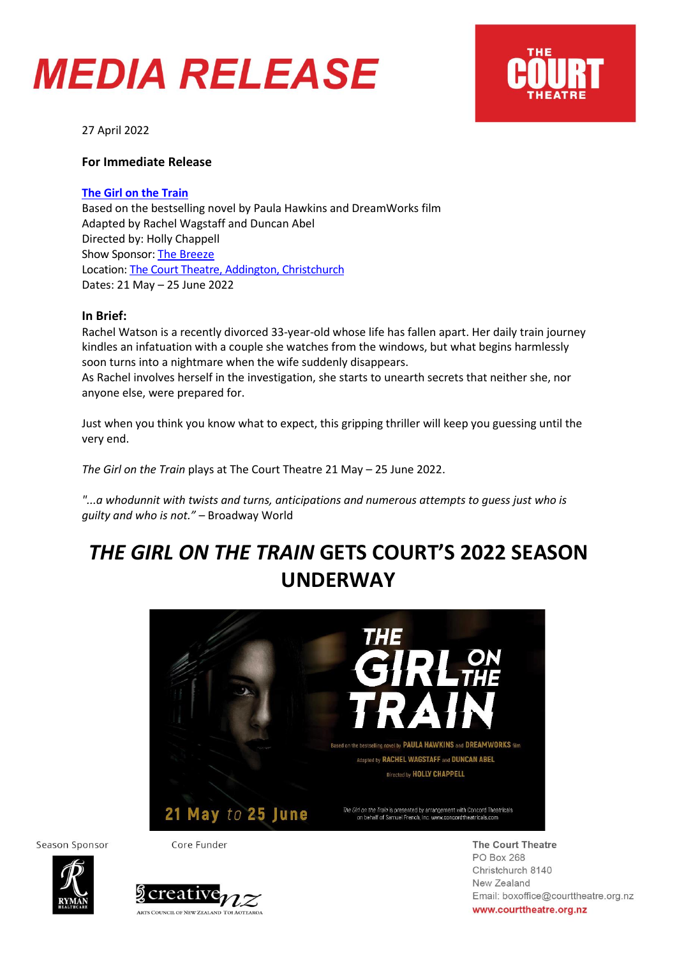## **MEDIA RELEASE**



27 April 2022

### **For Immediate Release**

### **[The Girl on the Train](https://courttheatre.org.nz/whats-on/the-girl-on-the-train/)**

Based on the bestselling novel by Paula Hawkins and DreamWorks film Adapted by Rachel Wagstaff and Duncan Abel Directed by: Holly Chappell Show Sponsor[: The Breeze](https://www.thebreeze.co.nz/home.html) Location: [The Court Theatre, Addington, Christchurch](https://www.google.com/maps/place/The+Court+Theatre/@-43.5413888,172.6082243,17z/data=!3m2!4b1!5s0x6d318a64a0f44ef1:0x87635a033858912c!4m5!3m4!1s0x6d318a6360771531:0x9c07cd8aaf15db46!8m2!3d-43.5413927!4d172.610413) Dates: 21 May – 25 June 2022

#### **In Brief:**

Rachel Watson is a recently divorced 33-year-old whose life has fallen apart. Her daily train journey kindles an infatuation with a couple she watches from the windows, but what begins harmlessly soon turns into a nightmare when the wife suddenly disappears.

As Rachel involves herself in the investigation, she starts to unearth secrets that neither she, nor anyone else, were prepared for.

Just when you think you know what to expect, this gripping thriller will keep you guessing until the very end.

*The Girl on the Train* plays at The Court Theatre 21 May – 25 June 2022.

*"...a whodunnit with twists and turns, anticipations and numerous attempts to guess just who is guilty and who is not."* – Broadway World

### *THE GIRL ON THE TRAIN* **GETS COURT'S 2022 SEASON UNDERWAY**



Season Sponsor

Core Funder





**The Court Theatre PO Box 268** Christchurch 8140 New Zealand Email: boxoffice@courttheatre.org.nz www.courttheatre.org.nz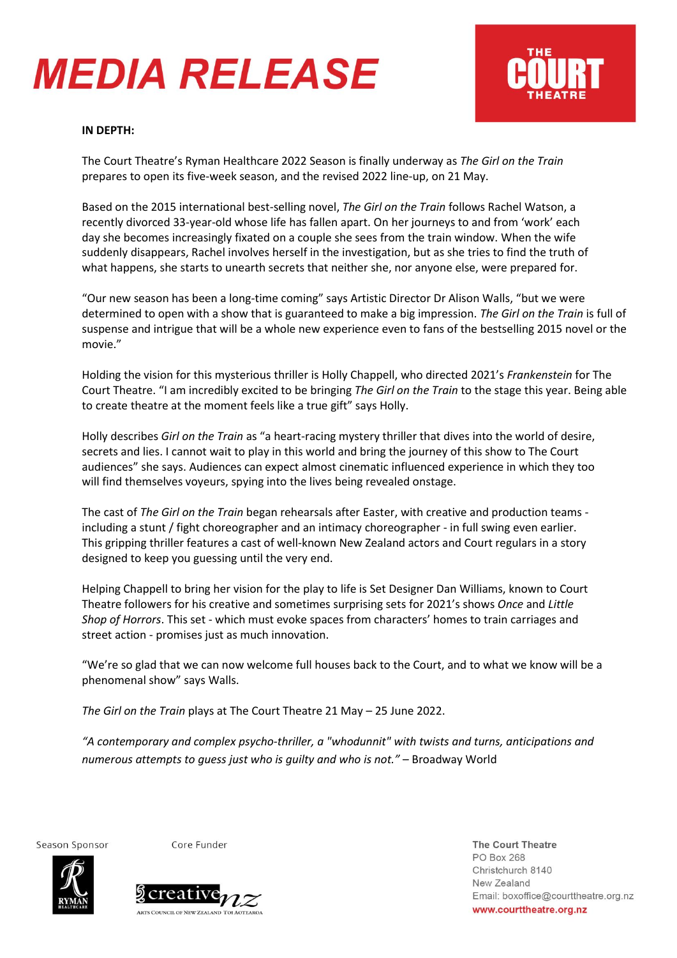## **MEDIA RELEASE**



#### **IN DEPTH:**

The Court Theatre's Ryman Healthcare 2022 Season is finally underway as *The Girl on the Train* prepares to open its five-week season, and the revised 2022 line-up, on 21 May.

Based on the 2015 international best-selling novel, *The Girl on the Train* follows Rachel Watson, a recently divorced 33-year-old whose life has fallen apart. On her journeys to and from 'work' each day she becomes increasingly fixated on a couple she sees from the train window. When the wife suddenly disappears, Rachel involves herself in the investigation, but as she tries to find the truth of what happens, she starts to unearth secrets that neither she, nor anyone else, were prepared for.

"Our new season has been a long-time coming" says Artistic Director Dr Alison Walls, "but we were determined to open with a show that is guaranteed to make a big impression. *The Girl on the Train* is full of suspense and intrigue that will be a whole new experience even to fans of the bestselling 2015 novel or the movie."

Holding the vision for this mysterious thriller is Holly Chappell, who directed 2021's *Frankenstein* for The Court Theatre. "I am incredibly excited to be bringing *The Girl on the Train* to the stage this year. Being able to create theatre at the moment feels like a true gift" says Holly.

Holly describes *Girl on the Train* as "a heart-racing mystery thriller that dives into the world of desire, secrets and lies. I cannot wait to play in this world and bring the journey of this show to The Court audiences" she says. Audiences can expect almost cinematic influenced experience in which they too will find themselves voyeurs, spying into the lives being revealed onstage.

The cast of *The Girl on the Train* began rehearsals after Easter, with creative and production teams including a stunt / fight choreographer and an intimacy choreographer - in full swing even earlier. This gripping thriller features a cast of well-known New Zealand actors and Court regulars in a story designed to keep you guessing until the very end.

Helping Chappell to bring her vision for the play to life is Set Designer Dan Williams, known to Court Theatre followers for his creative and sometimes surprising sets for 2021's shows *Once* and *Little Shop of Horrors*. This set - which must evoke spaces from characters' homes to train carriages and street action - promises just as much innovation.

"We're so glad that we can now welcome full houses back to the Court, and to what we know will be a phenomenal show" says Walls.

*The Girl on the Train* plays at The Court Theatre 21 May – 25 June 2022.

*"A contemporary and complex psycho-thriller, a "whodunnit" with twists and turns, anticipations and numerous attempts to guess just who is guilty and who is not."* – Broadway World

Season Sponsor

Core Funder





**The Court Theatre** PO Box 268 Christchurch 8140 New Zealand Email: boxoffice@courttheatre.org.nz www.courttheatre.org.nz